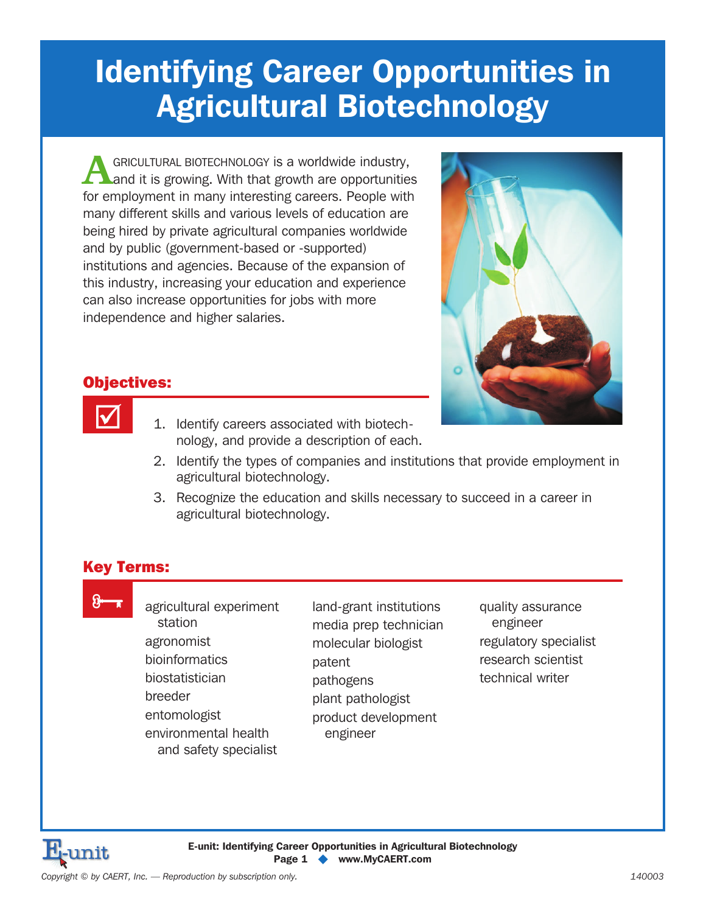# **Identifying Career Opportunities in Agricultural Biotechnology**

**ACGRICULTURAL BIOTECHNOLOGY is a worldwide industry,**<br>
and it is growing. With that growth are opportunities for employment in many interesting careers. People with many different skills and various levels of education are being hired by private agricultural companies worldwide and by public (government-based or -supported) institutions and agencies. Because of the expansion of this industry, increasing your education and experience can also increase opportunities for jobs with more independence and higher salaries.



## Objectives:

 $\overline{\mathbf{M}}$ 

- 1. Identify careers associated with biotechnology, and provide a description of each.
- 2. Identify the types of companies and institutions that provide employment in agricultural biotechnology.
- 3. Recognize the education and skills necessary to succeed in a career in agricultural biotechnology.

## Key Terms:

8 x

agricultural experiment station agronomist bioinformatics biostatistician breeder entomologist environmental health and safety specialist

land-grant institutions media prep technician molecular biologist patent pathogens plant pathologist product development engineer

quality assurance engineer regulatory specialist research scientist technical writer

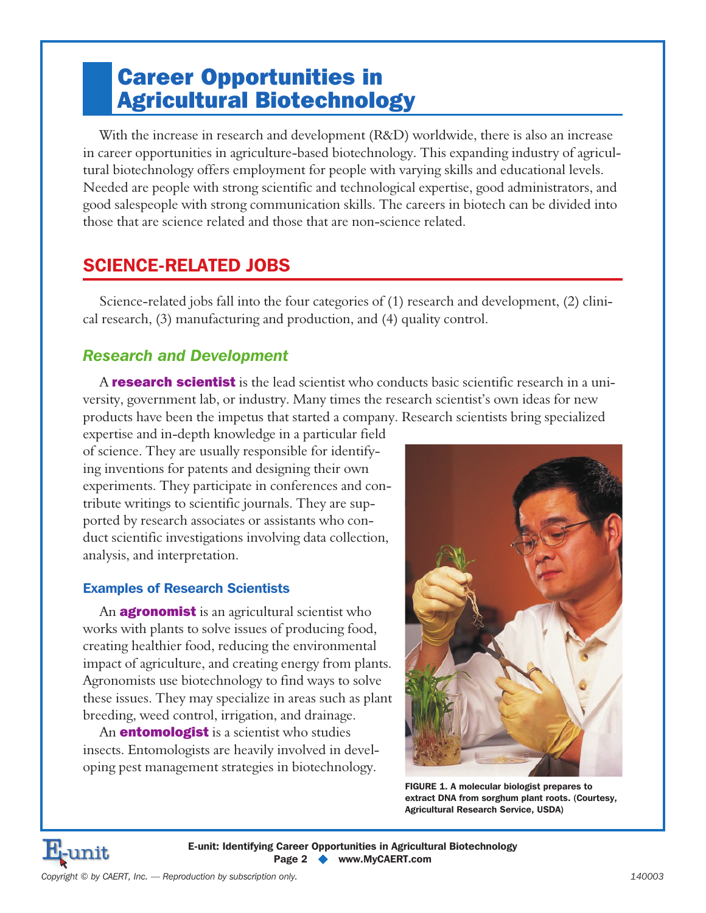## Career Opportunities in Agricultural Biotechnology

With the increase in research and development (R&D) worldwide, there is also an increase in career opportunities in agriculture-based biotechnology. This expanding industry of agricultural biotechnology offers employment for people with varying skills and educational levels. Needed are people with strong scientific and technological expertise, good administrators, and good salespeople with strong communication skills. The careers in biotech can be divided into those that are science related and those that are non-science related.

## **SCIENCE-RELATED JOBS**

Science-related jobs fall into the four categories of (1) research and development, (2) clinical research, (3) manufacturing and production, and (4) quality control.

## *Research and Development*

A **research scientist** is the lead scientist who conducts basic scientific research in a university, government lab, or industry. Many times the research scientist's own ideas for new products have been the impetus that started a company. Research scientists bring specialized

expertise and in-depth knowledge in a particular field of science. They are usually responsible for identifying inventions for patents and designing their own experiments. They participate in conferences and contribute writings to scientific journals. They are supported by research associates or assistants who conduct scientific investigations involving data collection, analysis, and interpretation.

#### **Examples of Research Scientists**

An **agronomist** is an agricultural scientist who works with plants to solve issues of producing food, creating healthier food, reducing the environmental impact of agriculture, and creating energy from plants. Agronomists use biotechnology to find ways to solve these issues. They may specialize in areas such as plant breeding, weed control, irrigation, and drainage.

An **entomologist** is a scientist who studies insects. Entomologists are heavily involved in developing pest management strategies in biotechnology.



**FIGURE 1. A molecular biologist prepares to extract DNA from sorghum plant roots. (Courtesy, Agricultural Research Service, USDA)**

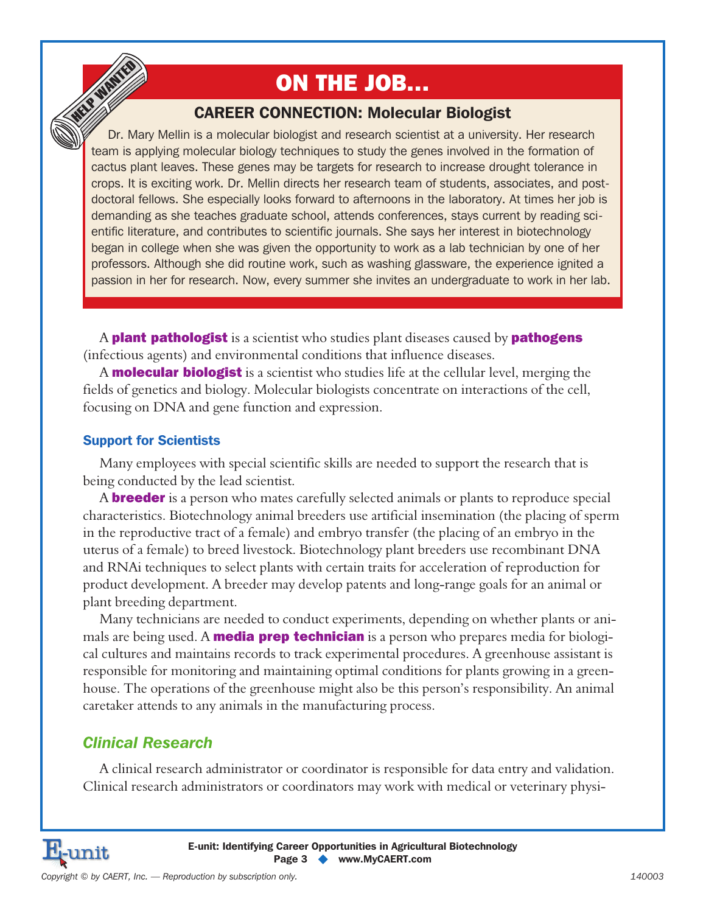# ON THE JOB…

## **CAREER CONNECTION: Molecular Biologist**

Dr. Mary Mellin is a molecular biologist and research scientist at a university. Her research team is applying molecular biology techniques to study the genes involved in the formation of cactus plant leaves. These genes may be targets for research to increase drought tolerance in crops. It is exciting work. Dr. Mellin directs her research team of students, associates, and postdoctoral fellows. She especially looks forward to afternoons in the laboratory. At times her job is demanding as she teaches graduate school, attends conferences, stays current by reading scientific literature, and contributes to scientific journals. She says her interest in biotechnology began in college when she was given the opportunity to work as a lab technician by one of her professors. Although she did routine work, such as washing glassware, the experience ignited a passion in her for research. Now, every summer she invites an undergraduate to work in her lab.

A **plant pathologist** is a scientist who studies plant diseases caused by **pathogens** (infectious agents) and environmental conditions that influence diseases.

A **molecular biologist** is a scientist who studies life at the cellular level, merging the fields of genetics and biology. Molecular biologists concentrate on interactions of the cell, focusing on DNA and gene function and expression.

#### **Support for Scientists**

HELP WANTED

Many employees with special scientific skills are needed to support the research that is being conducted by the lead scientist.

A **breeder** is a person who mates carefully selected animals or plants to reproduce special characteristics. Biotechnology animal breeders use artificial insemination (the placing of sperm in the reproductive tract of a female) and embryo transfer (the placing of an embryo in the uterus of a female) to breed livestock. Biotechnology plant breeders use recombinant DNA and RNAi techniques to select plants with certain traits for acceleration of reproduction for product development. A breeder may develop patents and long-range goals for an animal or plant breeding department.

Many technicians are needed to conduct experiments, depending on whether plants or animals are being used. A **media prep technician** is a person who prepares media for biological cultures and maintains records to track experimental procedures. A greenhouse assistant is responsible for monitoring and maintaining optimal conditions for plants growing in a greenhouse. The operations of the greenhouse might also be this person's responsibility. An animal caretaker attends to any animals in the manufacturing process.

## *Clinical Research*

A clinical research administrator or coordinator is responsible for data entry and validation. Clinical research administrators or coordinators may work with medical or veterinary physi-

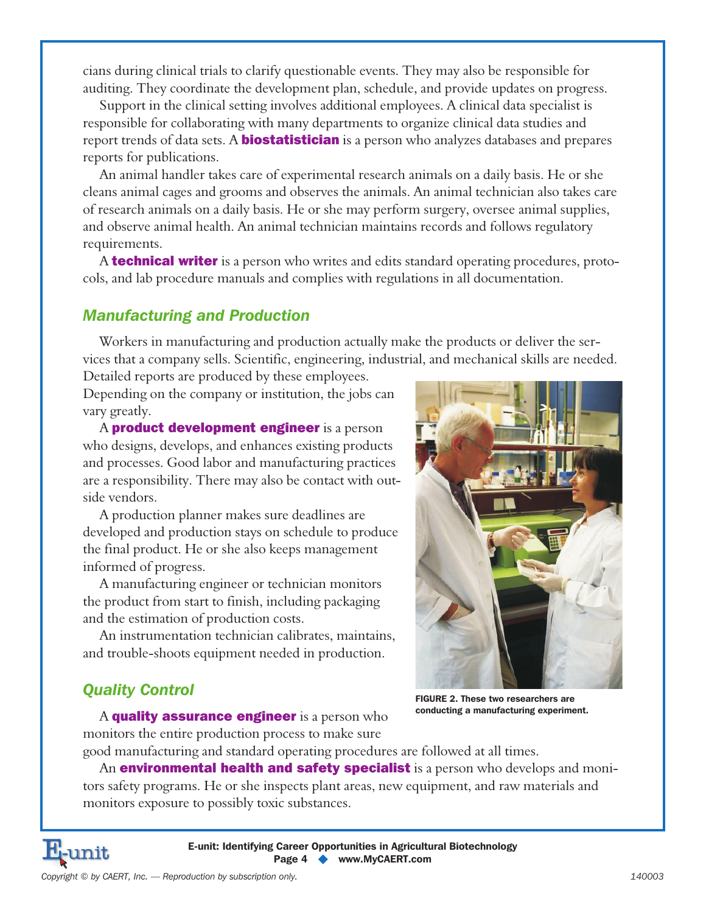cians during clinical trials to clarify questionable events. They may also be responsible for auditing. They coordinate the development plan, schedule, and provide updates on progress.

Support in the clinical setting involves additional employees. A clinical data specialist is responsible for collaborating with many departments to organize clinical data studies and report trends of data sets. A **biostatistician** is a person who analyzes databases and prepares reports for publications.

An animal handler takes care of experimental research animals on a daily basis. He or she cleans animal cages and grooms and observes the animals. An animal technician also takes care of research animals on a daily basis. He or she may perform surgery, oversee animal supplies, and observe animal health. An animal technician maintains records and follows regulatory requirements.

A **technical writer** is a person who writes and edits standard operating procedures, protocols, and lab procedure manuals and complies with regulations in all documentation.

### *Manufacturing and Production*

Workers in manufacturing and production actually make the products or deliver the services that a company sells. Scientific, engineering, industrial, and mechanical skills are needed.

Detailed reports are produced by these employees. Depending on the company or institution, the jobs can vary greatly.

A **product development engineer** is a person who designs, develops, and enhances existing products and processes. Good labor and manufacturing practices are a responsibility. There may also be contact with outside vendors.

A production planner makes sure deadlines are developed and production stays on schedule to produce the final product. He or she also keeps management informed of progress.

A manufacturing engineer or technician monitors the product from start to finish, including packaging and the estimation of production costs.

An instrumentation technician calibrates, maintains, and trouble-shoots equipment needed in production.

## *Quality Control*

A quality assurance engineer is a person who monitors the entire production process to make sure



**FIGURE 2. These two researchers are conducting a manufacturing experiment.**

good manufacturing and standard operating procedures are followed at all times.

An **environmental health and safety specialist** is a person who develops and monitors safety programs. He or she inspects plant areas, new equipment, and raw materials and monitors exposure to possibly toxic substances.

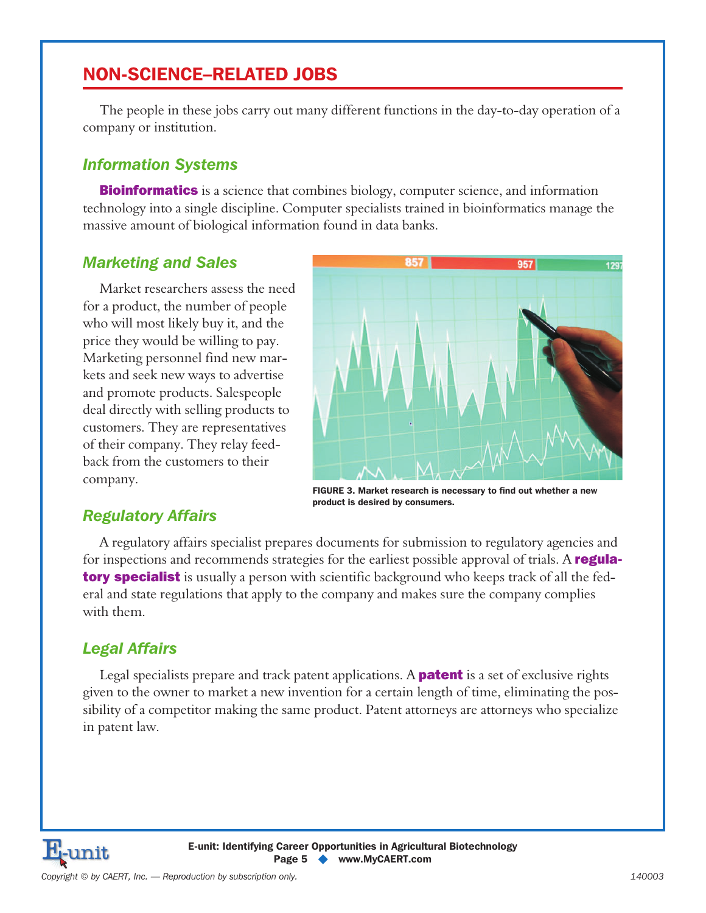## **NON-SCIENCE–RELATED JOBS**

The people in these jobs carry out many different functions in the day-to-day operation of a company or institution.

#### *Information Systems*

**Bioinformatics** is a science that combines biology, computer science, and information technology into a single discipline. Computer specialists trained in bioinformatics manage the massive amount of biological information found in data banks.

### *Marketing and Sales*

Market researchers assess the need for a product, the number of people who will most likely buy it, and the price they would be willing to pay. Marketing personnel find new markets and seek new ways to advertise and promote products. Salespeople deal directly with selling products to customers. They are representatives of their company. They relay feedback from the customers to their company.



**FIGURE 3. Market research is necessary to find out whether a new product is desired by consumers.**

## *Regulatory Affairs*

A regulatory affairs specialist prepares documents for submission to regulatory agencies and for inspections and recommends strategies for the earliest possible approval of trials. A **regulatory specialist** is usually a person with scientific background who keeps track of all the federal and state regulations that apply to the company and makes sure the company complies with them.

### *Legal Affairs*

Legal specialists prepare and track patent applications. A **patent** is a set of exclusive rights given to the owner to market a new invention for a certain length of time, eliminating the possibility of a competitor making the same product. Patent attorneys are attorneys who specialize in patent law.

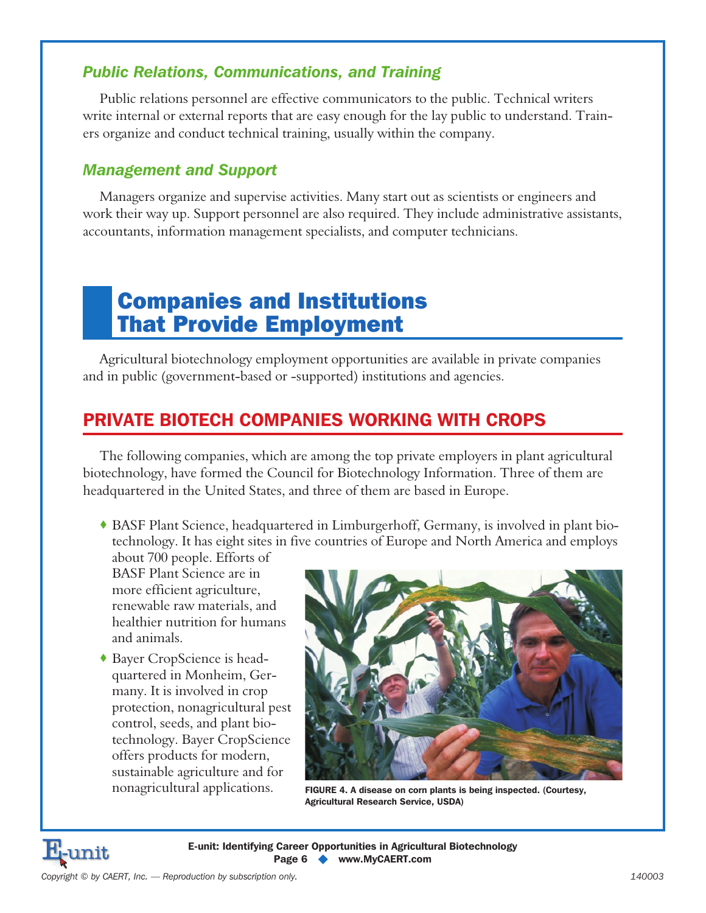## *Public Relations, Communications, and Training*

Public relations personnel are effective communicators to the public. Technical writers write internal or external reports that are easy enough for the lay public to understand. Trainers organize and conduct technical training, usually within the company.

## *Management and Support*

Managers organize and supervise activities. Many start out as scientists or engineers and work their way up. Support personnel are also required. They include administrative assistants, accountants, information management specialists, and computer technicians.

## Companies and Institutions That Provide Employment

Agricultural biotechnology employment opportunities are available in private companies and in public (government-based or -supported) institutions and agencies.

## **PRIVATE BIOTECH COMPANIES WORKING WITH CROPS**

The following companies, which are among the top private employers in plant agricultural biotechnology, have formed the Council for Biotechnology Information. Three of them are headquartered in the United States, and three of them are based in Europe.

 BASF Plant Science, headquartered in Limburgerhoff, Germany, is involved in plant biotechnology. It has eight sites in five countries of Europe and North America and employs

about 700 people. Efforts of BASF Plant Science are in more efficient agriculture, renewable raw materials, and healthier nutrition for humans and animals.

 Bayer CropScience is headquartered in Monheim, Germany. It is involved in crop protection, nonagricultural pest control, seeds, and plant biotechnology. Bayer CropScience offers products for modern, sustainable agriculture and for nonagricultural applications.



**FIGURE 4. A disease on corn plants is being inspected. (Courtesy, Agricultural Research Service, USDA)**

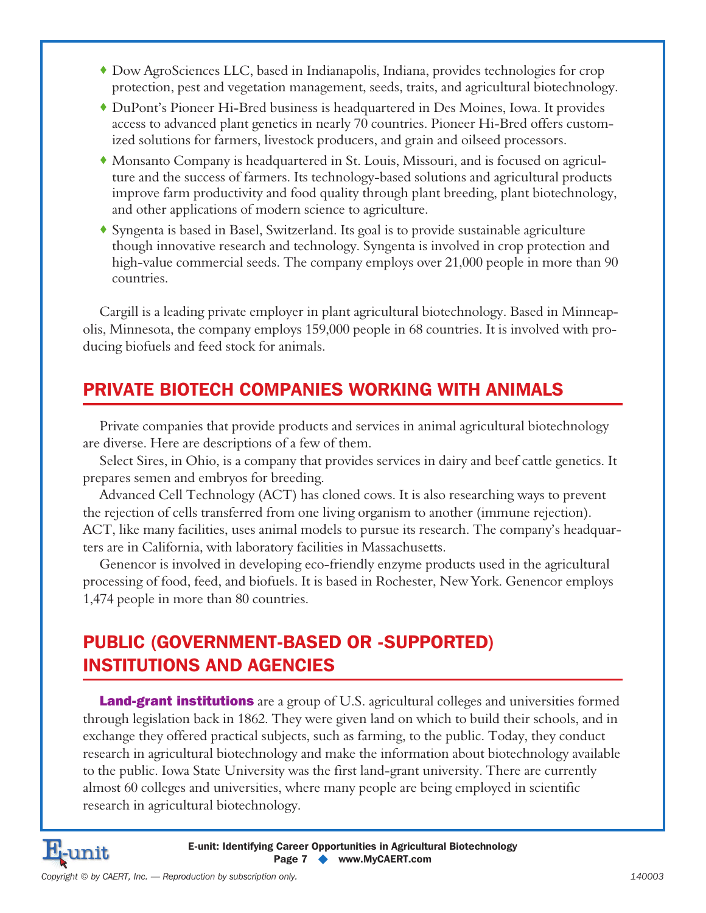- Dow AgroSciences LLC, based in Indianapolis, Indiana, provides technologies for crop protection, pest and vegetation management, seeds, traits, and agricultural biotechnology.
- DuPont's Pioneer Hi-Bred business is headquartered in Des Moines, Iowa. It provides access to advanced plant genetics in nearly 70 countries. Pioneer Hi-Bred offers customized solutions for farmers, livestock producers, and grain and oilseed processors.
- Monsanto Company is headquartered in St. Louis, Missouri, and is focused on agriculture and the success of farmers. Its technology-based solutions and agricultural products improve farm productivity and food quality through plant breeding, plant biotechnology, and other applications of modern science to agriculture.
- Syngenta is based in Basel, Switzerland. Its goal is to provide sustainable agriculture though innovative research and technology. Syngenta is involved in crop protection and high-value commercial seeds. The company employs over 21,000 people in more than 90 countries.

Cargill is a leading private employer in plant agricultural biotechnology. Based in Minneapolis, Minnesota, the company employs 159,000 people in 68 countries. It is involved with producing biofuels and feed stock for animals.

## **PRIVATE BIOTECH COMPANIES WORKING WITH ANIMALS**

Private companies that provide products and services in animal agricultural biotechnology are diverse. Here are descriptions of a few of them.

Select Sires, in Ohio, is a company that provides services in dairy and beef cattle genetics. It prepares semen and embryos for breeding.

Advanced Cell Technology (ACT) has cloned cows. It is also researching ways to prevent the rejection of cells transferred from one living organism to another (immune rejection). ACT, like many facilities, uses animal models to pursue its research. The company's headquarters are in California, with laboratory facilities in Massachusetts.

Genencor is involved in developing eco-friendly enzyme products used in the agricultural processing of food, feed, and biofuels. It is based in Rochester, New York. Genencor employs 1,474 people in more than 80 countries.

## **PUBLIC (GOVERNMENT-BASED OR -SUPPORTED) INSTITUTIONS AND AGENCIES**

**Land-grant institutions** are a group of U.S. agricultural colleges and universities formed through legislation back in 1862. They were given land on which to build their schools, and in exchange they offered practical subjects, such as farming, to the public. Today, they conduct research in agricultural biotechnology and make the information about biotechnology available to the public. Iowa State University was the first land-grant university. There are currently almost 60 colleges and universities, where many people are being employed in scientific research in agricultural biotechnology.

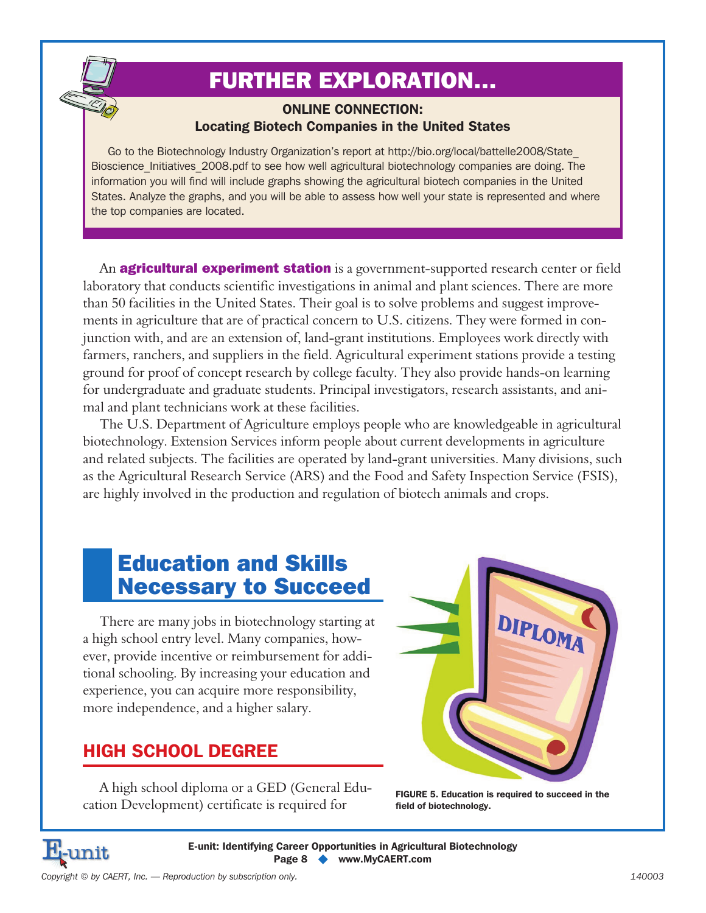# FURTHER EXPLORATION…

#### **ONLINE CONNECTION: Locating Biotech Companies in the United States**

Go to the Biotechnology Industry Organization's report at http://bio.org/local/battelle2008/State\_ Bioscience Initiatives 2008.pdf to see how well agricultural biotechnology companies are doing. The information you will find will include graphs showing the agricultural biotech companies in the United States. Analyze the graphs, and you will be able to assess how well your state is represented and where the top companies are located.

An **agricultural experiment station** is a government-supported research center or field laboratory that conducts scientific investigations in animal and plant sciences. There are more than 50 facilities in the United States. Their goal is to solve problems and suggest improvements in agriculture that are of practical concern to U.S. citizens. They were formed in conjunction with, and are an extension of, land-grant institutions. Employees work directly with farmers, ranchers, and suppliers in the field. Agricultural experiment stations provide a testing ground for proof of concept research by college faculty. They also provide hands-on learning for undergraduate and graduate students. Principal investigators, research assistants, and animal and plant technicians work at these facilities.

The U.S. Department of Agriculture employs people who are knowledgeable in agricultural biotechnology. Extension Services inform people about current developments in agriculture and related subjects. The facilities are operated by land-grant universities. Many divisions, such as the Agricultural Research Service (ARS) and the Food and Safety Inspection Service (FSIS), are highly involved in the production and regulation of biotech animals and crops.

## Education and Skills Necessary to Succeed

There are many jobs in biotechnology starting at a high school entry level. Many companies, however, provide incentive or reimbursement for additional schooling. By increasing your education and experience, you can acquire more responsibility, more independence, and a higher salary.

## **HIGH SCHOOL DEGREE**

A high school diploma or a GED (General Education Development) certificate is required for



**FIGURE 5. Education is required to succeed in the field of biotechnology.**



**E-unit: Identifying Career Opportunities in Agricultural Biotechnology Page 8 - www.MyCAERT.com**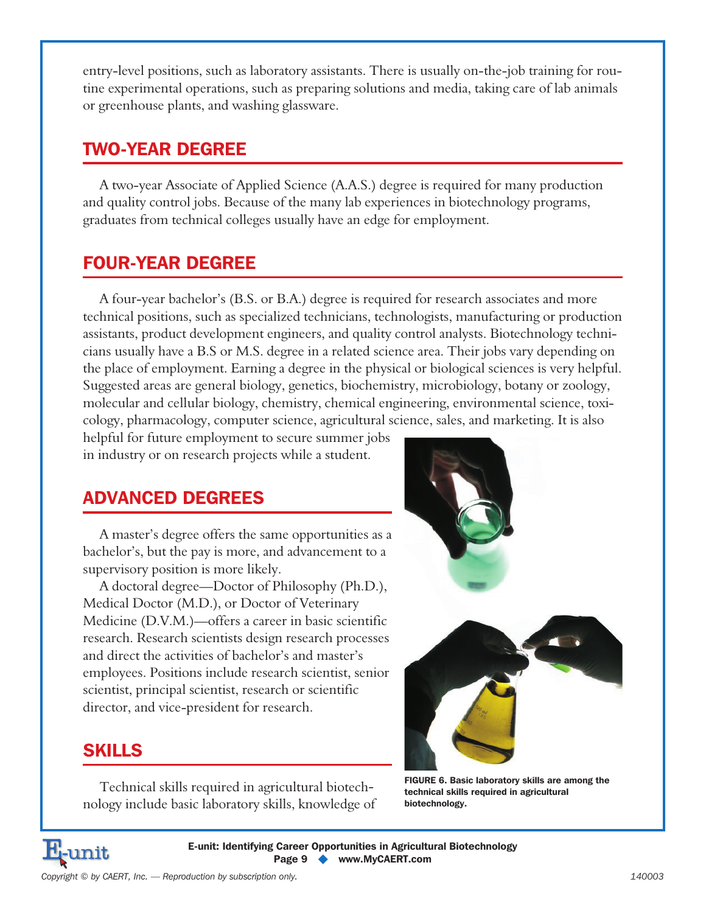entry-level positions, such as laboratory assistants. There is usually on-the-job training for routine experimental operations, such as preparing solutions and media, taking care of lab animals or greenhouse plants, and washing glassware.

## **TWO-YEAR DEGREE**

A two-year Associate of Applied Science (A.A.S.) degree is required for many production and quality control jobs. Because of the many lab experiences in biotechnology programs, graduates from technical colleges usually have an edge for employment.

## **FOUR-YEAR DEGREE**

A four-year bachelor's (B.S. or B.A.) degree is required for research associates and more technical positions, such as specialized technicians, technologists, manufacturing or production assistants, product development engineers, and quality control analysts. Biotechnology technicians usually have a B.S or M.S. degree in a related science area. Their jobs vary depending on the place of employment. Earning a degree in the physical or biological sciences is very helpful. Suggested areas are general biology, genetics, biochemistry, microbiology, botany or zoology, molecular and cellular biology, chemistry, chemical engineering, environmental science, toxicology, pharmacology, computer science, agricultural science, sales, and marketing. It is also

helpful for future employment to secure summer jobs in industry or on research projects while a student.

## **ADVANCED DEGREES**

A master's degree offers the same opportunities as a bachelor's, but the pay is more, and advancement to a supervisory position is more likely.

A doctoral degree—Doctor of Philosophy (Ph.D.), Medical Doctor (M.D.), or Doctor of Veterinary Medicine (D.V.M.)—offers a career in basic scientific research. Research scientists design research processes and direct the activities of bachelor's and master's employees. Positions include research scientist, senior scientist, principal scientist, research or scientific director, and vice-president for research.

## **SKILLS**

Technical skills required in agricultural biotechnology include basic laboratory skills, knowledge of



**FIGURE 6. Basic laboratory skills are among the technical skills required in agricultural biotechnology.**



**E-unit: Identifying Career Opportunities in Agricultural Biotechnology Page 9 - www.MyCAERT.com**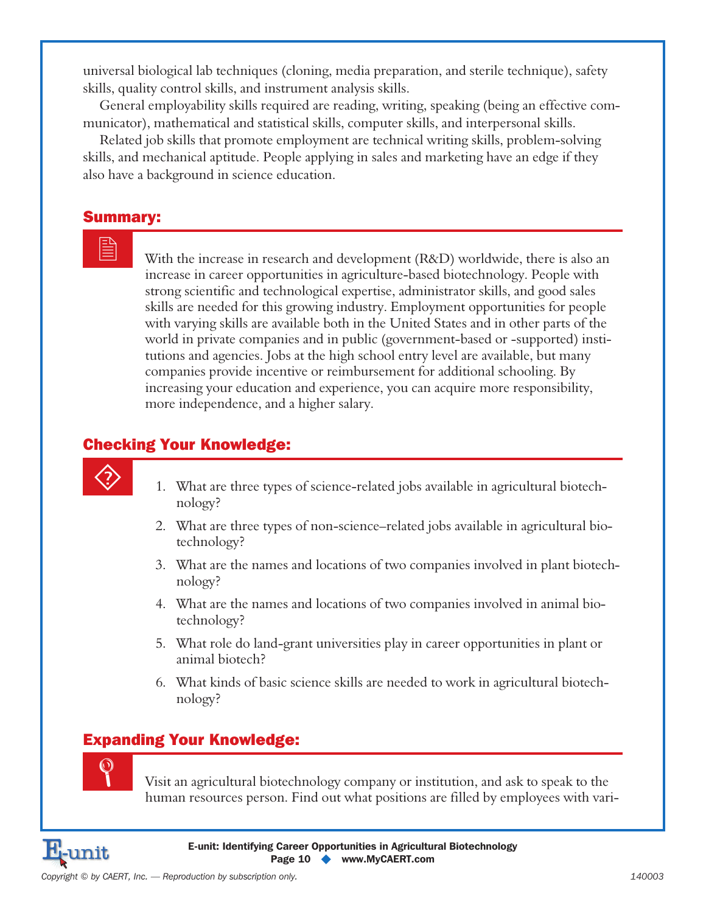universal biological lab techniques (cloning, media preparation, and sterile technique), safety skills, quality control skills, and instrument analysis skills.

General employability skills required are reading, writing, speaking (being an effective communicator), mathematical and statistical skills, computer skills, and interpersonal skills.

Related job skills that promote employment are technical writing skills, problem-solving skills, and mechanical aptitude. People applying in sales and marketing have an edge if they also have a background in science education.

### Summary:

 With the increase in research and development (R&D) worldwide, there is also an increase in career opportunities in agriculture-based biotechnology. People with strong scientific and technological expertise, administrator skills, and good sales skills are needed for this growing industry. Employment opportunities for people with varying skills are available both in the United States and in other parts of the world in private companies and in public (government-based or -supported) institutions and agencies. Jobs at the high school entry level are available, but many companies provide incentive or reimbursement for additional schooling. By increasing your education and experience, you can acquire more responsibility, more independence, and a higher salary.

## Checking Your Knowledge:

- 1. What are three types of science-related jobs available in agricultural biotechnology?
- 2. What are three types of non-science–related jobs available in agricultural biotechnology?
- 3. What are the names and locations of two companies involved in plant biotechnology?
- 4. What are the names and locations of two companies involved in animal biotechnology?
- 5. What role do land-grant universities play in career opportunities in plant or animal biotech?
- 6. What kinds of basic science skills are needed to work in agricultural biotechnology?

## Expanding Your Knowledge:



 Visit an agricultural biotechnology company or institution, and ask to speak to the human resources person. Find out what positions are filled by employees with vari-